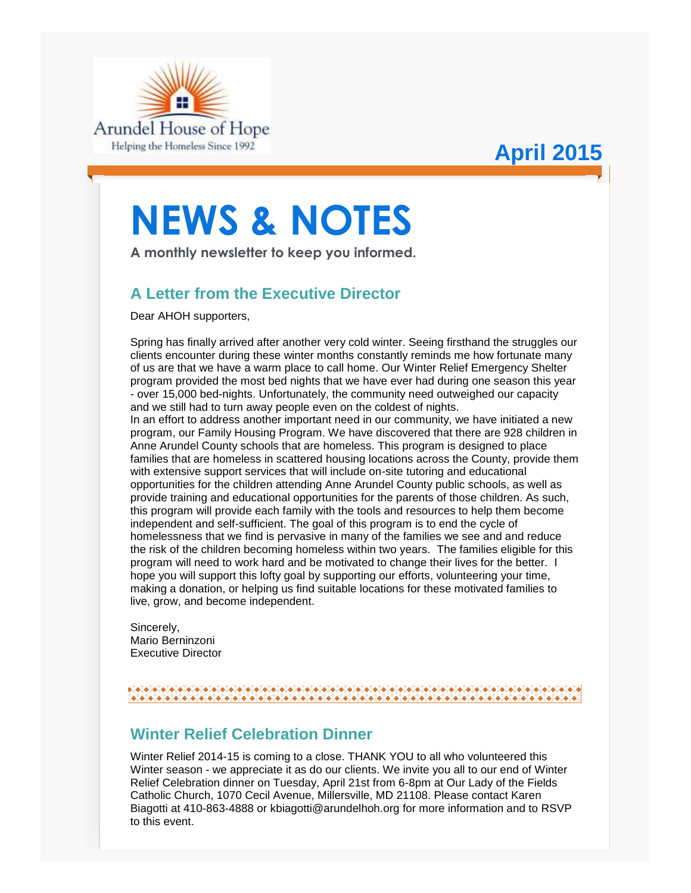

# **April 2015**

# **NEWS & NOTES**

**A monthly newsletter to keep you informed.**

## **A Letter from the Executive Director**

Dear AHOH supporters,

Spring has finally arrived after another very cold winter. Seeing firsthand the struggles our clients encounter during these winter months constantly reminds me how fortunate many of us are that we have a warm place to call home. Our Winter Relief Emergency Shelter program provided the most bed nights that we have ever had during one season this year - over 15,000 bed-nights. Unfortunately, the community need outweighed our capacity and we still had to turn away people even on the coldest of nights. In an effort to address another important need in our community, we have initiated a new program, our Family Housing Program. We have discovered that there are 928 children in Anne Arundel County schools that are homeless. This program is designed to place families that are homeless in scattered housing locations across the County, provide them with extensive support services that will include on-site tutoring and educational opportunities for the children attending Anne Arundel County public schools, as well as provide training and educational opportunities for the parents of those children. As such, this program will provide each family with the tools and resources to help them become independent and self-sufficient. The goal of this program is to end the cycle of homelessness that we find is pervasive in many of the families we see and and reduce the risk of the children becoming homeless within two years. The families eligible for this program will need to work hard and be motivated to change their lives for the better. I hope you will support this lofty goal by supporting our efforts, volunteering your time, making a donation, or helping us find suitable locations for these motivated families to

Sincerely, Mario Berninzoni Executive Director

live, grow, and become independent.

#### 

## **Winter Relief Celebration Dinner**

Winter Relief 2014-15 is coming to a close. THANK YOU to all who volunteered this Winter season - we appreciate it as do our clients. We invite you all to our end of Winter Relief Celebration dinner on Tuesday, April 21st from 6-8pm at Our Lady of the Fields Catholic Church, 1070 Cecil Avenue, Millersville, MD 21108. Please contact Karen Biagotti at 410-863-4888 or kbiagotti@arundelhoh.org for more information and to RSVP to this event.